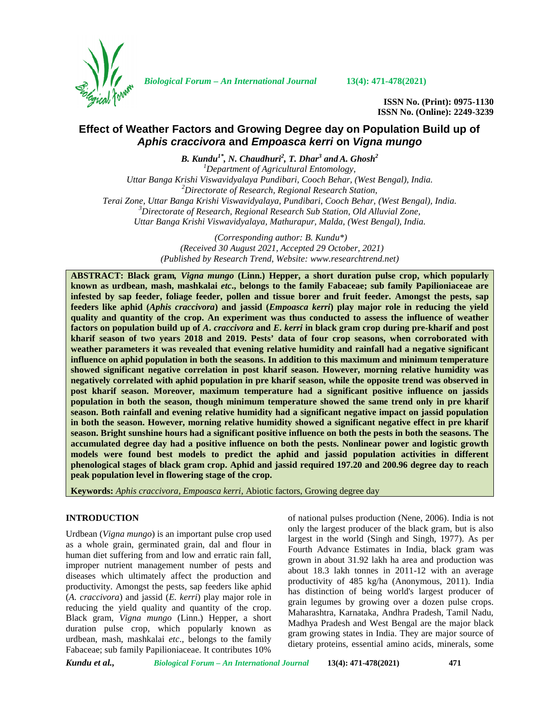

*Biological Forum – An International Journal* **13(4): 471-478(2021)**

**ISSN No. (Print): 0975-1130 ISSN No. (Online): 2249-3239**

# **Effect of Weather Factors and Growing Degree day on Population Build up of** *Aphis craccivora* **and** *Empoasca kerri* **on** *Vigna mungo*

*B. Kundu1\*, N. Chaudhuri<sup>2</sup> , T. Dhar<sup>3</sup> and A. Ghosh<sup>2</sup> <sup>1</sup>Department of Agricultural Entomology, Uttar Banga Krishi Viswavidyalaya Pundibari, Cooch Behar, (West Bengal), India. <sup>2</sup>Directorate of Research, Regional Research Station, Terai Zone, Uttar Banga Krishi Viswavidyalaya, Pundibari, Cooch Behar, (West Bengal), India. <sup>3</sup>Directorate of Research, Regional Research Sub Station, Old Alluvial Zone, Uttar Banga Krishi Viswavidyalaya, Mathurapur, Malda, (West Bengal), India.*

> *(Corresponding author: B. Kundu\*) (Received 30 August 2021, Accepted 29 October, 2021) (Published by Research Trend, Website: [www.researchtrend.net\)](www.researchtrend.net)*

**ABSTRACT: Black gram***, Vigna mungo* **(Linn.) Hepper, a short duration pulse crop, which popularly known as urdbean, mash, mashkalai** *etc***., belongs to the family Fabaceae; sub family Papilioniaceae are infested by sap feeder, foliage feeder, pollen and tissue borer and fruit feeder. Amongst the pests, sap feeders like aphid (***Aphis craccivora***) and jassid (***Empoasca kerri***) play major role in reducing the yield quality and quantity of the crop. An experiment was thus conducted to assess the influence of weather factors on population build up of** *A***.** *craccivora* **and** *E***.** *kerri* **in black gram crop during pre-kharif and post kharif season of two years 2018 and 2019. Pests' data of four crop seasons, when corroborated with weather parameters it was revealed that evening relative humidity and rainfall had a negative significant influence on aphid population in both the seasons. In addition to this maximum and minimum temperature showed significant negative correlation in post kharif season. However, morning relative humidity was negatively correlated with aphid population in pre kharif season, while the opposite trend was observed in post kharif season. Moreover, maximum temperature had a significant positive influence on jassids population in both the season, though minimum temperature showed the same trend only in pre kharif season. Both rainfall and evening relative humidity had a significant negative impact on jassid population in both the season. However, morning relative humidity showed a significant negative effect in pre kharif season. Bright sunshine hours had a significant positive influence on both the pests in both the seasons. The accumulated degree day had a positive influence on both the pests. Nonlinear power and logistic growth models were found best models to predict the aphid and jassid population activities in different phenological stages of black gram crop. Aphid and jassid required 197.20 and 200.96 degree day to reach peak population level in flowering stage of the crop.**

**Keywords:** *Aphis craccivora*, *Empoasca kerri*, Abiotic factors, Growing degree day

## **INTRODUCTION**

Urdbean (*Vigna mungo*) is an important pulse crop used as a whole grain, germinated grain, dal and flour in human diet suffering from and low and erratic rain fall, improper nutrient management number of pests and diseases which ultimately affect the production and productivity. Amongst the pests, sap feeders like aphid (*A. craccivora*) and jassid (*E. kerri*) play major role in reducing the yield quality and quantity of the crop. Black gram*, Vigna mungo* (Linn.) Hepper, a short duration pulse crop, which popularly known as urdbean, mash, mashkalai *etc*., belongs to the family Fabaceae; sub family Papilioniaceae. It contributes 10%

of national pulses production (Nene, 2006). India is not only the largest producer of the black gram, but is also largest in the world (Singh and Singh, 1977). As per Fourth Advance Estimates in India, black gram was grown in about 31.92 lakh ha area and production was about 18.3 lakh tonnes in 2011-12 with an average productivity of 485 kg/ha (Anonymous, 2011). India has distinction of being world's largest producer of grain legumes by growing over a dozen pulse crops. Maharashtra, Karnataka, Andhra Pradesh, Tamil Nadu, Madhya Pradesh and West Bengal are the major black gram growing states in India. They are major source of dietary proteins, essential amino acids, minerals, some

*Kundu et al., Biological Forum – An International Journal* **13(4): 471-478(2021) 471**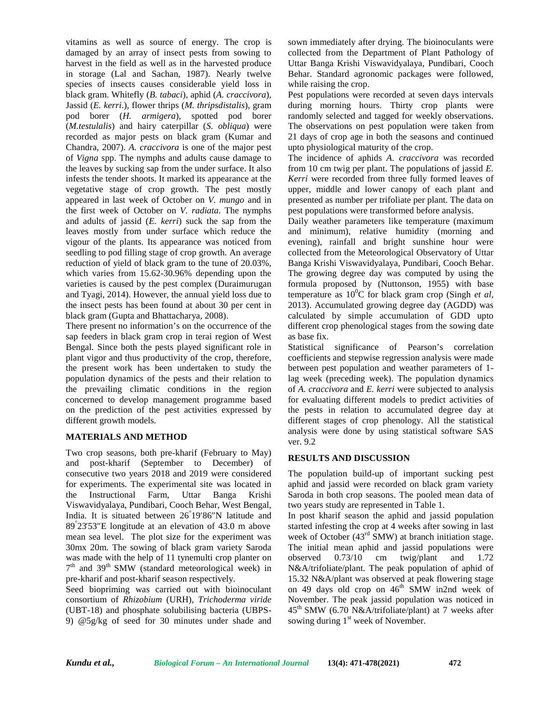vitamins as well as source of energy. The crop is damaged by an array of insect pests from sowing to harvest in the field as well as in the harvested produce in storage (Lal and Sachan, 1987). Nearly twelve species of insects causes considerable yield loss in black gram. Whitefly (*B. tabaci*), aphid (*A. craccivora*), Jassid (*E. kerri*.), flower thrips (*M. thripsdistalis*), gram pod borer (*H. armigera*), spotted pod borer (*M.testulalis*) and hairy caterpillar (*S. obliqua*) were recorded as major pests on black gram (Kumar and Chandra, 2007). *A. craccivora* is one of the major pest of *Vigna* spp. The nymphs and adults cause damage to the leaves by sucking sap from the under surface. It also infests the tender shoots. It marked its appearance at the vegetative stage of crop growth. The pest mostly appeared in last week of October on *V. mungo* and in the first week of October on *V. radiata*. The nymphs and adults of jassid (*E. kerri*) suck the sap from the leaves mostly from under surface which reduce the vigour of the plants. Its appearance was noticed from seedling to pod filling stage of crop growth. An average reduction of yield of black gram to the tune of 20.03%, which varies from 15.62-30.96% depending upon the varieties is caused by the pest complex (Duraimurugan and Tyagi, 2014). However, the annual yield loss due to the insect pests has been found at about 30 per cent in black gram (Gupta and Bhattacharya, 2008).

There present no information's on the occurrence of the sap feeders in black gram crop in terai region of West Bengal. Since both the pests played significant role in plant vigor and thus productivity of the crop, therefore, the present work has been undertaken to study the population dynamics of the pests and their relation to the prevailing climatic conditions in the region concerned to develop management programme based on the prediction of the pest activities expressed by different growth models.

## **MATERIALS AND METHOD**

Two crop seasons, both pre-kharif (February to May) and post-kharif (September to December) of consecutive two years 2018 and 2019 were considered for experiments. The experimental site was located in the Instructional Farm, Uttar Banga Krishi Viswavidyalaya, Pundibari, Cooch Behar, West Bengal, India. It is situated between  $26$ <sup> $19$ </sup> $86$  N latitude and  $89^{\circ}2353$  E longitude at an elevation of 43.0 m above mean sea level. The plot size for the experiment was 30mx 20m. The sowing of black gram variety Saroda was made with the help of 11 tynemulti crop planter on observed  $7<sup>th</sup>$  and 39<sup>th</sup> SMW (standard meteorological week) in N&A pre-kharif and post-kharif season respectively.

Seed biopriming was carried out with bioinoculant consortium of *Rhizobium* (URH),*Trichoderma viride* (UBT-18) and phosphate solubilising bacteria (UBPS- 9) @5g/kg of seed for 30 minutes under shade and sown immediately after drying. The bioinoculants were collected from the Department of Plant Pathology of Uttar Banga Krishi Viswavidyalaya, Pundibari, Cooch Behar. Standard agronomic packages were followed, while raising the crop.

Pest populations were recorded at seven days intervals during morning hours. Thirty crop plants were randomly selected and tagged for weekly observations. The observations on pest population were taken from 21 days of crop age in both the seasons and continued upto physiological maturity of the crop.

The incidence of aphids *A. craccivora* was recorded from 10 cm twig per plant. The populations of jassid *E. Kerri* were recorded from three fully formed leaves of upper, middle and lower canopy of each plant and presented as number per trifoliate per plant. The data on pest populations were transformed before analysis.

Daily weather parameters like temperature (maximum and minimum), relative humidity (morning and evening), rainfall and bright sunshine hour were collected from the Meteorological Observatory of Uttar Banga Krishi Viswavidyalaya, Pundibari, Cooch Behar. The growing degree day was computed by using the formula proposed by (Nuttonson, 1955) with base temperature as  $10^0C$  for black gram crop (Singh *et al,* 2013). Accumulated growing degree day (AGDD) was calculated by simple accumulation of GDD upto different crop phenological stages from the sowing date as base fix.

Statistical significance of Pearson's correlation coefficients and stepwise regression analysis were made between pest population and weather parameters of 1 lag week (preceding week). The population dynamics of *A. craccivora* and *E. kerri* were subjected to analysis for evaluating different models to predict activities of the pests in relation to accumulated degree day at different stages of crop phenology. All the statistical analysis were done by using statistical software SAS ver. 9.2

## **RESULTS AND DISCUSSION**

The population build-up of important sucking pest aphid and jassid were recorded on black gram variety Saroda in both crop seasons. The pooled mean data of two years study are represented in Table 1.

In post kharif season the aphid and jassid population started infesting the crop at 4 weeks after sowing in last week of October  $(43<sup>rd</sup> SMW)$  at branch initiation stage. The initial mean aphid and jassid populations were  $0.73/10$  cm twig/plant and  $1.72$ N&A/trifoliate/plant. The peak population of aphid of 15.32 N&A/plant was observed at peak flowering stage on 49 days old crop on 46<sup>th</sup> SMW in2nd week of November. The peak jassid population was noticed in  $45<sup>th</sup>$  SMW (6.70 N&A/trifoliate/plant) at 7 weeks after sowing during  $1<sup>st</sup>$  week of November.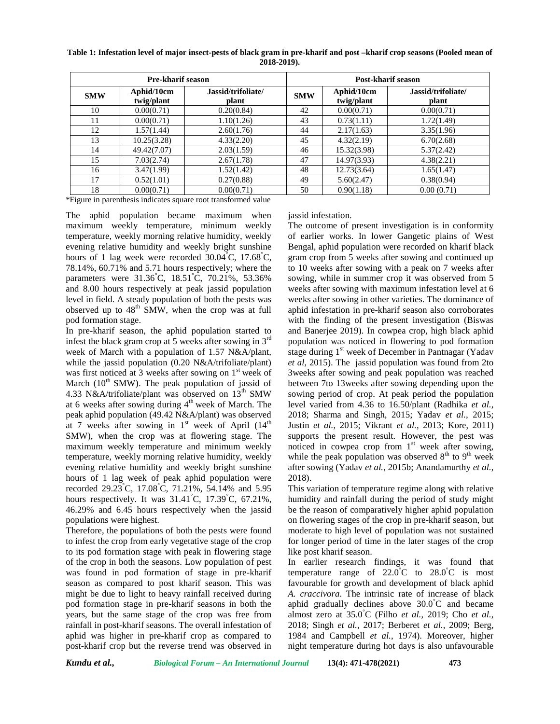| Table 1: Infestation level of major insect-pests of black gram in pre-kharif and post -kharif crop seasons (Pooled mean of |
|----------------------------------------------------------------------------------------------------------------------------|
| 2018-2019).                                                                                                                |

| <b>Pre-kharif season</b> |                          |                             | Post-kharif season |                          |                             |  |  |
|--------------------------|--------------------------|-----------------------------|--------------------|--------------------------|-----------------------------|--|--|
| <b>SMW</b>               | Aphid/10cm<br>twig/plant | Jassid/trifoliate/<br>plant | <b>SMW</b>         | Aphid/10cm<br>twig/plant | Jassid/trifoliate/<br>plant |  |  |
| 10                       | 0.00(0.71)               | 0.20(0.84)                  | 42                 | 0.00(0.71)               | 0.00(0.71)                  |  |  |
| 11                       | 0.00(0.71)               | 1.10(1.26)                  | 43                 | 0.73(1.11)               | 1.72(1.49)                  |  |  |
| 12                       | 1.57(1.44)               | 2.60(1.76)                  | 44                 | 2.17(1.63)               | 3.35(1.96)                  |  |  |
| 13                       | 10.25(3.28)              | 4.33(2.20)                  | 45                 | 4.32(2.19)               | 6.70(2.68)                  |  |  |
| 14                       | 49.42(7.07)              | 2.03(1.59)                  | 46                 | 15.32(3.98)              | 5.37(2.42)                  |  |  |
| 15                       | 7.03(2.74)               | 2.67(1.78)                  | 47                 | 14.97(3.93)              | 4.38(2.21)                  |  |  |
| 16                       | 3.47(1.99)               | 1.52(1.42)                  | 48                 | 12.73(3.64)              | 1.65(1.47)                  |  |  |
| 17                       | 0.52(1.01)               | 0.27(0.88)                  | 49                 | 5.60(2.47)               | 0.38(0.94)                  |  |  |
| 18                       | 0.00(0.71)               | 0.00(0.71)                  | 50                 | 0.90(1.18)               | 0.00(0.71)                  |  |  |

\*Figure in parenthesis indicates square root transformed value

The aphid population became maximum when maximum weekly temperature, minimum weekly temperature, weekly morning relative humidity, weekly evening relative humidity and weekly bright sunshine hours of 1 lag week were recorded  $30.04^{\circ}$ C,  $17.68^{\circ}$ C, 78.14%, 60.71% and 5.71 hours respectively; where the parameters were 31.36°C, 18.51°C, 70.21%, 53.36% and 8.00 hours respectively at peak jassid population level in field. A steady population of both the pests was observed up to  $48<sup>th</sup>$  SMW, when the crop was at full pod formation stage.

In pre-kharif season, the aphid population started to infest the black gram crop at 5 weeks after sowing in  $3<sup>rd</sup>$ week of March with a population of 1.57 N&A/plant, while the jassid population (0.20 N&A/trifoliate/plant) was first noticed at 3 weeks after sowing on  $1<sup>st</sup>$  week of March  $(10^{th}$  SMW). The peak population of jassid of 4.33 N&A/trifoliate/plant was observed on  $13<sup>th</sup>$  SMW at 6 weeks after sowing during  $4<sup>th</sup>$  week of March. The peak aphid population (49.42 N&A/plant) was observed at 7 weeks after sowing in  $1<sup>st</sup>$  week of April  $(14<sup>th</sup>$ SMW), when the crop was at flowering stage. The maximum weekly temperature and minimum weekly temperature, weekly morning relative humidity, weekly evening relative humidity and weekly bright sunshine hours of 1 lag week of peak aphid population were recorded 29.23°C, 17.08°C, 71.21%, 54.14% and 5.95 hours respectively. It was  $31.41^{\circ}$ C,  $17.39^{\circ}$ C,  $67.21\%$ , 46.29% and 6.45 hours respectively when the jassid populations were highest.

Therefore, the populations of both the pests were found to infest the crop from early vegetative stage of the crop to its pod formation stage with peak in flowering stage of the crop in both the seasons. Low population of pest was found in pod formation of stage in pre-kharif season as compared to post kharif season. This was might be due to light to heavy rainfall received during pod formation stage in pre-kharif seasons in both the years, but the same stage of the crop was free from rainfall in post-kharif seasons. The overall infestation of aphid was higher in pre-kharif crop as compared to post-kharif crop but the reverse trend was observed in jassid infestation.

<sup>rd</sup> population was noticed in flowering to pod formation The outcome of present investigation is in conformity of earlier works. In lower Gangetic plains of West Bengal, aphid population were recorded on kharif black gram crop from 5 weeks after sowing and continued up to 10 weeks after sowing with a peak on 7 weeks after sowing, while in summer crop it was observed from 5 weeks after sowing with maximum infestation level at 6 weeks after sowing in other varieties. The dominance of aphid infestation in pre-kharif season also corroborates with the finding of the present investigation (Biswas and Banerjee 2019). In cowpea crop, high black aphid stage during 1<sup>st</sup> week of December in Pantnagar (Yadav *et al*, 2015). The jassid population was found from 2to 3weeks after sowing and peak population was reached between 7to 13weeks after sowing depending upon the sowing period of crop. At peak period the population level varied from 4.36 to 16.50/plant (Radhika *et al.*, 2018; Sharma and Singh, 2015; Yadav *et al.*, 2015; Justin *et al.*, 2015; Vikrant *et al.*, 2013; Kore, 2011) supports the present result. However, the pest was noticed in cowpea crop from  $1<sup>st</sup>$  week after sowing, while the peak population was observed  $8<sup>th</sup>$  to  $9<sup>th</sup>$  week after sowing (Yadav *et al.*, 2015b; Anandamurthy *et al.*, 2018).

This variation of temperature regime along with relative humidity and rainfall during the period of study might be the reason of comparatively higher aphid population on flowering stages of the crop in pre-kharif season, but moderate to high level of population was not sustained for longer period of time in the later stages of the crop like post kharif season.

In earlier research findings, it was found that temperature range of  $22.0^{\circ}$ C to  $28.0^{\circ}$ C is most favourable for growth and development of black aphid *A. craccivora*. The intrinsic rate of increase of black aphid gradually declines above 30.0°C and became almost zero at 35.0°C (Filho *et al.*, 2019; Cho *et al.*, 2018; Singh *et al.*, 2017; Berberet *et al.*, 2009; Berg, 1984 and Campbell *et al.*, 1974). Moreover, higher night temperature during hot days is also unfavourable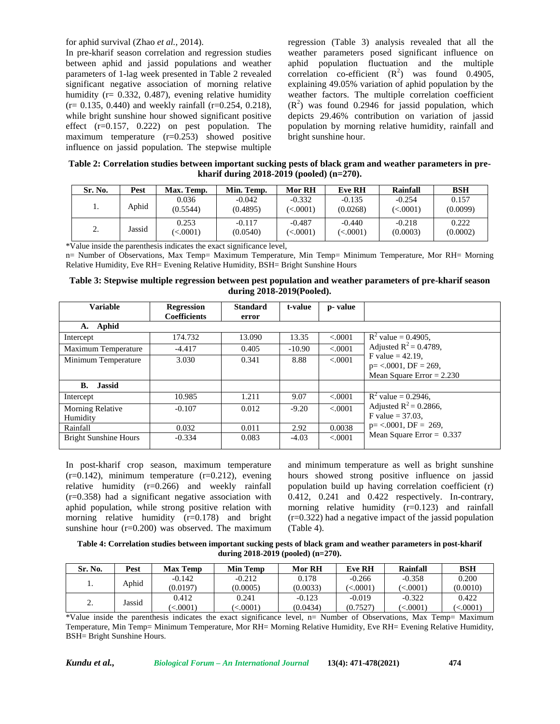for aphid survival (Zhao *et al.*, 2014).

In pre-kharif season correlation and regression studies between aphid and jassid populations and weather parameters of 1-lag week presented in Table 2 revealed significant negative association of morning relative humidity (r= 0.332, 0.487), evening relative humidity  $(r= 0.135, 0.440)$  and weekly rainfall  $(r=0.254, 0.218)$ , while bright sunshine hour showed significant positive effect (r=0.157, 0.222) on pest population. The maximum temperature (r=0.253) showed positive influence on jassid population. The stepwise multiple

regression (Table 3) analysis revealed that all the weather parameters posed significant influence on aphid population fluctuation and the multiple correlation co-efficient  $(R^2)$  was found 0.4905, explaining 49.05% variation of aphid population by the weather factors. The multiple correlation coefficient  $(R<sup>2</sup>)$  was found 0.2946 for jassid population, which depicts 29.46% contribution on variation of jassid population by morning relative humidity, rainfall and bright sunshine hour.

**Table 2: Correlation studies between important sucking pests of black gram and weather parameters in pre kharif during 2018-2019 (pooled) (n=270).**

| Sr. No.                 | Pest   | Max. Temp.           | Min. Temp.           | <b>Mor RH</b>           | <b>Eve RH</b>           | <b>Rainfall</b>         | BSH               |
|-------------------------|--------|----------------------|----------------------|-------------------------|-------------------------|-------------------------|-------------------|
|                         | Aphid  | 0.036<br>(0.5544)    | $-0.042$<br>(0.4895) | $-0.332$<br>$\leq 0001$ | $-0.135$<br>(0.0268)    | $-0.254$<br>$\leq 0001$ | 0.157<br>(0.0099) |
| $\bigcap$<br><u>، ،</u> | Jassid | 0.253<br>$\leq 0001$ | $-0.117$<br>(0.0540) | $-0.487$<br>$\leq 0001$ | $-0.440$<br>$\leq 0001$ | $-0.218$<br>(0.0003)    | 0.222<br>(0.0002) |

\*Value inside the parenthesis indicates the exact significance level,

n= Number of Observations, Max Temp= Maximum Temperature, Min Temp= Minimum Temperature, Mor RH= Morning Relative Humidity, Eve RH= Evening Relative Humidity, BSH= Bright Sunshine Hours

| Table 3: Stepwise multiple regression between pest population and weather parameters of pre-kharif season |  |
|-----------------------------------------------------------------------------------------------------------|--|
| during 2018-2019(Pooled).                                                                                 |  |

| <b>Variable</b>              | <b>Regression</b>   | <b>Standard</b> | t-value  | p- value |                             |
|------------------------------|---------------------|-----------------|----------|----------|-----------------------------|
|                              | <b>Coefficients</b> | error           |          |          |                             |
| Aphid<br><b>A.</b>           |                     |                 |          |          |                             |
| Intercept                    | 174.732             | 13.090          | 13.35    | < .0001  | $R^2$ value = 0.4905,       |
| Maximum Temperature          | $-4.417$            | 0.405           | $-10.90$ | < .0001  | Adjusted $R^2 = 0.4789$ ,   |
| Minimum Temperature          | 3.030               | 0.341           | 8.88     | < .0001  | F value = $42.19$ ,         |
|                              |                     |                 |          |          | $p = <.0001$ , $DF = 269$ , |
|                              |                     |                 |          |          | Mean Square Error $= 2.230$ |
| <b>Jassid</b><br>В.          |                     |                 |          |          |                             |
| Intercept                    | 10.985              | 1.211           | 9.07     | < .0001  | $R^2$ value = 0.2946,       |
| Morning Relative             | $-0.107$            | 0.012           | $-9.20$  | < 0.001  | Adjusted $R^2 = 0.2866$ ,   |
| Humidity                     |                     |                 |          |          | F value = $37.03$ ,         |
| Rainfall                     | 0.032               | 0.011           | 2.92     | 0.0038   | $p = <.0001$ , $DF = 269$ , |
| <b>Bright Sunshine Hours</b> | $-0.334$            | 0.083           | $-4.03$  | < .0001  | Mean Square Error = $0.337$ |
|                              |                     |                 |          |          |                             |

In post-kharif crop season, maximum temperature  $(r=0.142)$ , minimum temperature  $(r=0.212)$ , evening relative humidity (r=0.266) and weekly rainfall (r=0.358) had a significant negative association with aphid population, while strong positive relation with morning relative humidity (r=0.178) and bright sunshine hour  $(r=0.200)$  was observed. The maximum

and minimum temperature as well as bright sunshine hours showed strong positive influence on jassid population build up having correlation coefficient (r) 0.412, 0.241 and 0.422 respectively. In-contrary, morning relative humidity (r=0.123) and rainfall (r=0.322) had a negative impact of the jassid population (Table 4).

**Table 4: Correlation studies between important sucking pests of black gram and weather parameters in post-kharif during 2018-2019 (pooled) (n=270).**

| Sr. No.   | Pest     | <b>Max Temp</b> | <b>Min Temp</b> | <b>Mor RH</b> | <b>Eve RH</b> | Rainfall | <b>BSH</b> |
|-----------|----------|-----------------|-----------------|---------------|---------------|----------|------------|
|           | Aphid    | $-0.142$        | $-0.212$        | 0.178         | $-0.266$      | $-0.358$ | 0.200      |
|           | (0.0197) | (0.0005)        | (0.0033)        | $\leq 0001$   | < 0.0001      | (0.0010) |            |
|           | Jassid   | 0.412           | 0.241           | $-0.123$      | $-0.019$      | $-0.322$ | 0.422      |
| <b>L.</b> |          | $\leq 0001$ )   | < .0001         | (0.0434)      | (0.7527)      | < .0001  | < 0.0001   |

\*Value inside the parenthesis indicates the exact significance level, n= Number of Observations, Max Temp= Maximum Temperature, Min Temp= Minimum Temperature, Mor RH= Morning Relative Humidity, Eve RH= Evening Relative Humidity, BSH= Bright Sunshine Hours.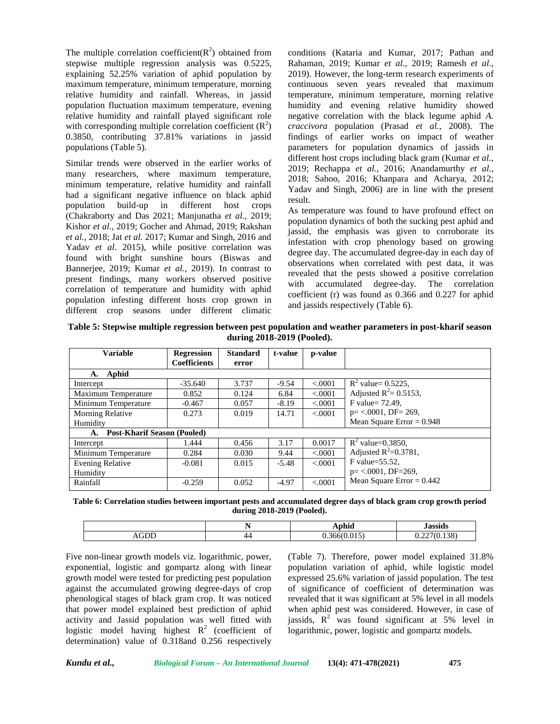The multiple correlation coefficient( $R^2$ ) obtained from stepwise multiple regression analysis was 0.5225, explaining 52.25% variation of aphid population by maximum temperature, minimum temperature, morning relative humidity and rainfall. Whereas, in jassid population fluctuation maximum temperature, evening relative humidity and rainfall played significant role with corresponding multiple correlation coefficient  $(R^2)$ 0.3850, contributing 37.81% variations in jassid populations (Table 5).

Similar trends were observed in the earlier works of many researchers, where maximum temperature, minimum temperature, relative humidity and rainfall had a significant negative influence on black aphid population build-up in different host crops (Chakraborty and Das 2021; Manjunatha *et al.*, 2019; Kishor *et al.*, 2019; Gocher and Ahmad, 2019; Rakshan *et al.*, 2018; Jat *et al.* 2017; Kumar and Singh, 2016 and Yadav *et al*. 2015), while positive correlation was found with bright sunshine hours (Biswas and Bannerjee, 2019; Kumar *et al.*, 2019). In contrast to present findings, many workers observed positive correlation of temperature and humidity with aphid population infesting different hosts crop grown in different crop seasons under different climatic conditions (Kataria and Kumar, 2017; Pathan and Rahaman, 2019; Kumar *et al.*, 2019; Ramesh *et al.*, 2019). However, the long-term research experiments of continuous seven years revealed that maximum temperature, minimum temperature, morning relative humidity and evening relative humidity showed negative correlation with the black legume aphid *A. craccivora* population (Prasad *et al.*, 2008). The findings of earlier works on impact of weather parameters for population dynamics of jassids in different host crops including black gram (Kumar *et al.*, 2019; Rechappa *et al.*, 2016; Anandamurthy *et al.*, 2018; Sahoo, 2016; Khanpara and Acharya, 2012; Yadav and Singh, 2006) are in line with the present result.

As temperature was found to have profound effect on population dynamics of both the sucking pest aphid and jassid, the emphasis was given to corroborate its infestation with crop phenology based on growing degree day. The accumulated degree-day in each day of observations when correlated with pest data, it was revealed that the pests showed a positive correlation with accumulated degree-day. The correlation coefficient (r) was found as 0.366 and 0.227 for aphid and jassids respectively (Table 6).

**Table 5: Stepwise multiple regression between pest population and weather parameters in post-kharif season during 2018-2019 (Pooled).**

| <b>Variable</b>                          | <b>Regression</b>   | <b>Standard</b> | t-value | p-value |                             |
|------------------------------------------|---------------------|-----------------|---------|---------|-----------------------------|
|                                          | <b>Coefficients</b> | error           |         |         |                             |
| Aphid<br>А.                              |                     |                 |         |         |                             |
| Intercept                                | $-35.640$           | 3.737           | $-9.54$ | < .0001 | $R^2$ value= 0.5225,        |
| Maximum Temperature                      | 0.852               | 0.124           | 6.84    | < .0001 | Adjusted $R^2 = 0.5153$ ,   |
| Minimum Temperature                      | $-0.467$            | 0.057           | $-8.19$ | < .0001 | $F$ value= 72.49.           |
| <b>Morning Relative</b>                  | 0.273               | 0.019           | 14.71   | < 0001  | $p = <.0001$ , $DF = 269$ , |
| Humidity                                 |                     |                 |         |         | Mean Square Error $= 0.948$ |
| <b>Post-Kharif Season (Pooled)</b><br>А. |                     |                 |         |         |                             |
| Intercept                                | 1.444               | 0.456           | 3.17    | 0.0017  | $R^2$ value=0.3850,         |
| Minimum Temperature                      | 0.284               | 0.030           | 9.44    | < 0001  | Adjusted $R^2=0.3781$ ,     |
| <b>Evening Relative</b>                  | $-0.081$            | 0.015           | $-5.48$ | < 0001  | F value=55.52,              |
| Humidity                                 |                     |                 |         |         | $p = <.0001$ , DF=269,      |
| Rainfall                                 | $-0.259$            | 0.052           | $-4.97$ | < 0001  | Mean Square Error = $0.442$ |

**Table 6: Correlation studies between important pests and accumulated degree days of black gram crop growth period during 2018-2019 (Pooled).**

|           |    | $\cdots$<br>\phid<br>. .  | <b>Jassids</b>             |
|-----------|----|---------------------------|----------------------------|
| ЛĽ<br>--- | 44 | $\bigcap_{i=1}^n$<br>3660 | 20<br>. U. I JO<br><i></i> |

Five non-linear growth models viz. logarithmic, power, exponential, logistic and gompartz along with linear growth model were tested for predicting pest population against the accumulated growing degree-days of crop phenological stages of black gram crop. It was noticed that power model explained best prediction of aphid activity and Jassid population was well fitted with logistic model having highest  $R^2$  (coefficient of determination) value of 0.318and 0.256 respectively

(Table 7). Therefore, power model explained 31.8% population variation of aphid, while logistic model expressed 25.6% variation of jassid population. The test of significance of coefficient of determination was revealed that it was significant at 5% level in all models when aphid pest was considered. However, in case of jassids,  $R^2$  was found significant at 5% level in logarithmic, power, logistic and gompartz models.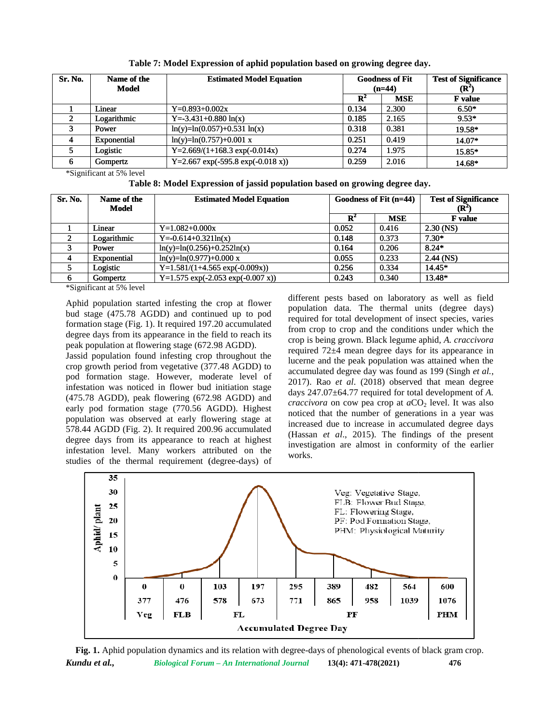| Sr. No. | Name of the<br>Model | <b>Estimated Model Equation</b>   |                | <b>Goodness of Fit</b><br>$(n=44)$ | <b>Test of Significance</b><br>(R" |
|---------|----------------------|-----------------------------------|----------------|------------------------------------|------------------------------------|
|         |                      |                                   | $\mathbf{R}^2$ | <b>MSE</b>                         | <b>F</b> value                     |
|         | Linear               | $Y=0.893+0.002x$                  | 0.134          | 2.300                              | $6.50*$                            |
|         | Logarithmic          | $Y = -3.431 + 0.880 \ln(x)$       | 0.185          | 2.165                              | $9.53*$                            |
|         | Power                | $ln(y)=ln(0.057)+0.531 ln(x)$     | 0.318          | 0.381                              | 19.58*                             |
| 4       | Exponential          | $ln(y)=ln(0.757)+0.001 x$         | 0.251          | 0.419                              | $14.07*$                           |
|         | Logistic             | $Y=2.669/(1+168.3 \exp(-0.014x))$ | 0.274          | 1.975                              | $15.85*$                           |
| -6      | Gompertz             | Y=2.667 exp(-595.8 exp(-0.018 x)) | 0.259          | 2.016                              | 14.68*                             |

**Table 7: Model Expression of aphid population based on growing degree day. population based** 

\*Significant at 5% level

| Table 8: Model Expression of jassid population based on growing degree day. |  |
|-----------------------------------------------------------------------------|--|
|                                                                             |  |

| Sr. No. | Name of the<br>Model | <b>Estimated Model Equation</b>   |                | Goodness of Fit (n=44) | <b>Test of Significance</b><br>$(\mathbf{R}^2)$ |
|---------|----------------------|-----------------------------------|----------------|------------------------|-------------------------------------------------|
|         |                      |                                   | $\mathbb{R}^2$ | <b>MSE</b>             | <b>F</b> value                                  |
|         | Linear               | $Y=1.082+0.000x$                  | 0.052          | 0.416                  | $2.30$ (NS)                                     |
|         | Logarithmic          | $Y = -0.614 + 0.321 \ln(x)$       | 0.148          | 0.373                  | $7.30*$                                         |
|         | Power                | $ln(y)=ln(0.256)+0.252ln(x)$      | 0.164          | 0.206                  | $8.24*$                                         |
|         | <b>Exponential</b>   | $ln(y)=ln(0.977)+0.000 \text{ x}$ | 0.055          | 0.233                  | $2.44$ (NS)                                     |
|         | Logistic             | Y=1.581/(1+4.565 exp(-0.009x))    | 0.256          | 0.334                  | $14.45*$                                        |
|         | Gompertz             | Y=1.575 exp(-2.053 exp(-0.007 x)) | 0.243          | 0.340                  | 13.48*                                          |

\*Significant at 5% level

Aphid population started infesting the crop at flower bud stage (475.78 AGDD) and continued up to pod formation stage (Fig. 1). It required 197.20 accumulated degree days from its appearance in the field to reach its peak population at flowering stage (672.98 AGDD).

Jassid population found infesting crop throughout the crop growth period from vegetative (377.48 AGDD) to pod formation stage. However, moderate level of infestation was noticed in flower bud initiation stage (475.78 AGDD), peak flowering (672.98 AGDD) and early pod formation stage (770.56 AGDD). Highest population was observed at early flowering stage at 578.44 AGDD (Fig. 2). It required 200.96 accumulated degree days from its appearance to reach at highest infestation level. Many workers attributed on the studies of the thermal requirement (degree-days) of

different pests based on laboratory as well as field population data. The thermal units (degree days) required for total development of insect species, varies from crop to crop and the conditions under which the crop is being grown. Black legume aphid, *A. craccivora* required 72±4 mean degree days for its appearance in lucerne and the peak population was attained when the accumulated degree day was found as 199 (Singh *et al.*, 2017). Rao *et al*. (2018) observed that mean degree days 247.07±64.77 required for total development of *A. craccivora* on cow pea crop at *a*CO<sub>2</sub> level. It was also noticed that the number of generations in a year was increased due to increase in accumulated degree days (Hassan *et al*., 2015). The findings of the present noticed that the number of generations in a year was<br>increased due to increase in accumulated degree days<br>(Hassan *et al.*, 2015). The findings of the present<br>investigation are almost in conformity of the earlier works. Aphid population started infesting the crop at flower<br>
bud stage. (475.78 AGDD) and continued up to pod required for total development of insect species, varies<br>
degree days from its appearance in the field to reach its<br>
f  $172\pm4$  mean degree days for its appearance in and the peak population was attained when the lated degree day was found as 199 (Singh *et al.*, Rao *et al.*, (2018) observed that mean degree 7.07 $\pm$ 64.77 required for to



*Kundu et al., Biological Forum – An International Journal* **13(4): 471-478(2021) 476 Fig. 1.** Aphid population dynamics and its relation with degree-days of phenological events of black gram crop.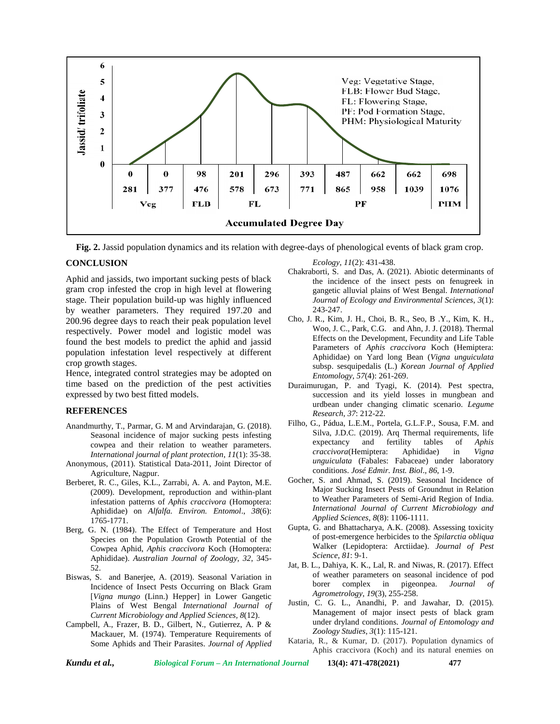

**Fig. 2.** Jassid population dynamics and its relation with degree-days of phenological events of black gram crop.

#### **CONCLUSION**

Aphid and jassids, two important sucking pests of black gram crop infested the crop in high level at flowering stage. Their population build-up was highly influenced by weather parameters. They required 197.20 and 200.96 degree days to reach their peak population level respectively. Power model and logistic model was found the best models to predict the aphid and jassid population infestation level respectively at different crop growth stages.

Hence, integrated control strategies may be adopted on time based on the prediction of the pest activities expressed by two best fitted models.

#### **REFERENCES**

- Anandmurthy, T., Parmar, G. M and Arvindarajan, G. (2018). Seasonal incidence of major sucking pests infesting cowpea and their relation to weather parameters. *International journal of plant protection*, *11*(1): 35-38.
- Anonymous, (2011). Statistical Data-2011, Joint Director of Agriculture, Nagpur.
- Berberet, R. C., Giles, K.L., Zarrabi, A. A. and Payton, M.E. (2009). Development, reproduction and within-plant infestation patterns of *Aphis craccivora* (Homoptera: Aphididae) on *Alfalfa. Environ. Entomol*., *38*(6): 1765-1771.
- Berg, G. N. (1984). The Effect of Temperature and Host Species on the Population Growth Potential of the Cowpea Aphid, *Aphis craccivora* Koch (Homoptera: Aphididae). *Australian Journal of Zoology, 32*, 345- 52.
- Biswas, S. and Banerjee, A. (2019). Seasonal Variation in Incidence of Insect Pests Occurring on Black Gram borer [*Vigna mungo* (Linn.) Hepper] in Lower Gangetic Plains of West Bengal *International Journal of Current Microbiology and Applied Sciences, 8*(12).
- Campbell, A., Frazer, B. D., Gilbert, N., Gutierrez, A. P & Mackauer, M. (1974). Temperature Requirements of Some Aphids and Their Parasites. *Journal of Applied*

*Ecology*, *11*(2): 431-438.

- Chakraborti, S. and Das, A. (2021). Abiotic determinants of the incidence of the insect pests on fenugreek in gangetic alluvial plains of West Bengal. *International Journal of Ecology and Environmental Sciences*, *3*(1): 243-247.
- Cho, J. R., Kim, J. H., Choi, B. R., Seo, B .Y., Kim, K. H., Woo, J. C., Park, C.G. and Ahn, J. J. (2018). Thermal Effects on the Development, Fecundity and Life Table Parameters of *Aphis craccivora* Koch (Hemiptera: Aphididae) on Yard long Bean (*Vigna unguiculata* subsp. sesquipedalis (L.) *Korean Journal of Applied Entomology*, *57*(4): 261-269.
- Duraimurugan, P. and Tyagi, K. (2014). Pest spectra, succession and its yield losses in mungbean and urdbean under changing climatic scenario. *Legume Research*, *37*: 212-22.
- Filho, G., Pádua, L.E.M., Portela, G.L.F.P., Sousa, F.M. and Silva, J.D.C. (2019). Arq Thermal requirements, life expectancy and fertility tables of *Aphis craccivora*(Hemiptera: Aphididae) in *Vigna unguiculata* (Fabales: Fabaceae) under laboratory conditions. *José Edmir. Inst. Biol*., *86*, 1-9.
- Gocher, S. and Ahmad, S. (2019). Seasonal Incidence of Major Sucking Insect Pests of Groundnut in Relation to Weather Parameters of Semi-Arid Region of India. *International Journal of Current Microbiology and Applied Sciences, 8*(8): 1106-1111.
- Gupta, G. and Bhattacharya, A.K. (2008). Assessing toxicity of post-emergence herbicides to the *Spilarctia obliqua* Walker (Lepidoptera: Arctiidae). *Journal of Pest Science*, *81*: 9-1.
- Jat, B. L., Dahiya, K. K., Lal, R. and Niwas, R. (2017). Effect of weather parameters on seasonal incidence of pod complex in pigeonpea. *Journal of Agrometrology*, *19*(3), 255-258.
- Justin, C. G. L., Anandhi, P. and Jawahar, D. (2015). Management of major insect pests of black gram under dryland conditions. *Journal of Entomology and Zoology Studies*, *3*(1): 115-121.
- Kataria, R., & Kumar, D. (2017). Population dynamics of Aphis craccivora (Koch) and its natural enemies on

*Kundu et al., Biological Forum – An International Journal* **13(4): 471-478(2021) 477**